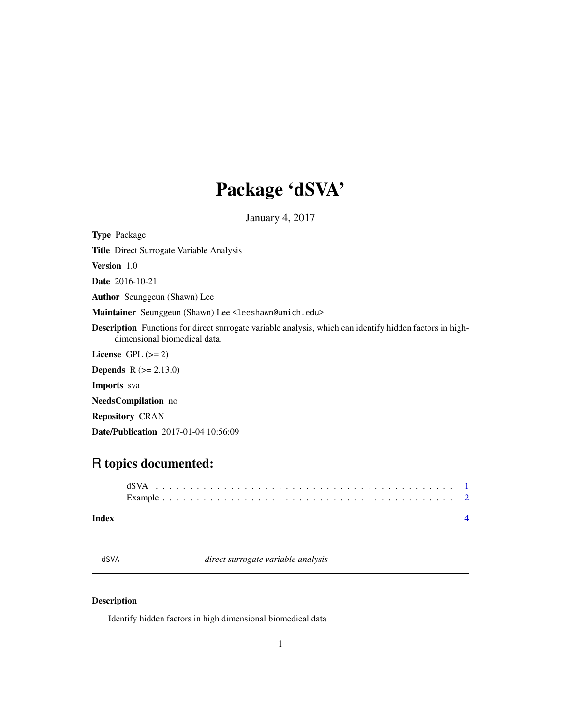## Package 'dSVA'

January 4, 2017

<span id="page-0-0"></span>Type Package

Title Direct Surrogate Variable Analysis

Version 1.0

Date 2016-10-21

Author Seunggeun (Shawn) Lee

Maintainer Seunggeun (Shawn) Lee <leeshawn@umich.edu>

Description Functions for direct surrogate variable analysis, which can identify hidden factors in highdimensional biomedical data.

License GPL  $(>= 2)$ 

**Depends**  $R (= 2.13.0)$ 

Imports sva

NeedsCompilation no

Repository CRAN

Date/Publication 2017-01-04 10:56:09

### R topics documented:

#### **Index** [4](#page-3-0)

dSVA *direct surrogate variable analysis*

#### Description

Identify hidden factors in high dimensional biomedical data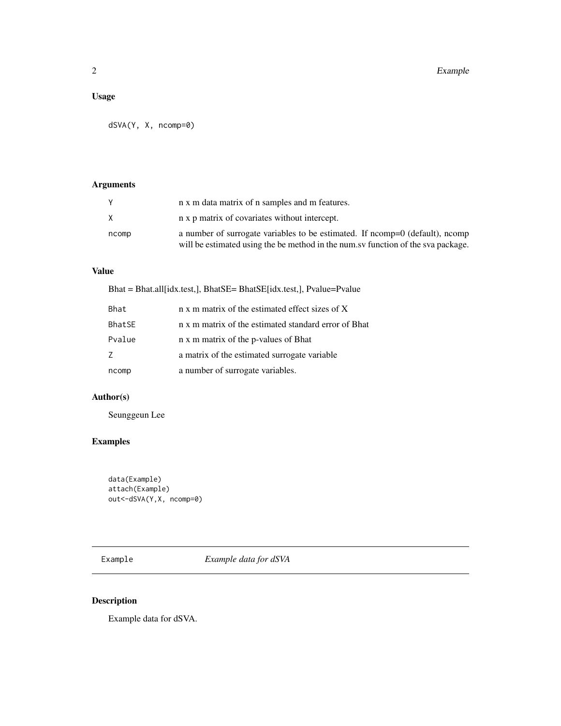#### <span id="page-1-0"></span>Usage

dSVA(Y, X, ncomp=0)

#### Arguments

|       | n x m data matrix of n samples and m features.                                                                                                                 |
|-------|----------------------------------------------------------------------------------------------------------------------------------------------------------------|
| X     | n x p matrix of covariates without intercept.                                                                                                                  |
| ncomp | a number of surrogate variables to be estimated. If nomp=0 (default), nomp<br>will be estimated using the be method in the num.sv function of the sva package. |

#### Value

Bhat = Bhat.all[idx.test,], BhatSE= BhatSE[idx.test,], Pvalue=Pvalue

| Bhat          | n x m matrix of the estimated effect sizes of X      |
|---------------|------------------------------------------------------|
| <b>BhatSE</b> | n x m matrix of the estimated standard error of Bhat |
| Pvalue        | n x m matrix of the p-values of Bhat                 |
| Z             | a matrix of the estimated surrogate variable         |
| ncomp         | a number of surrogate variables.                     |

#### Author(s)

Seunggeun Lee

#### Examples

```
data(Example)
attach(Example)
out<-dSVA(Y,X, ncomp=0)
```
Example *Example data for dSVA*

#### Description

Example data for dSVA.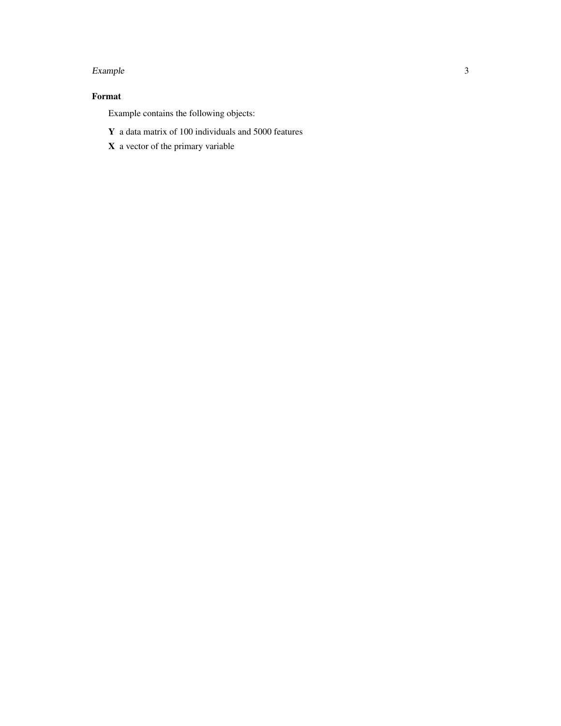#### Example 3

#### Format

Example contains the following objects:

- Y a data matrix of 100 individuals and 5000 features
- X a vector of the primary variable